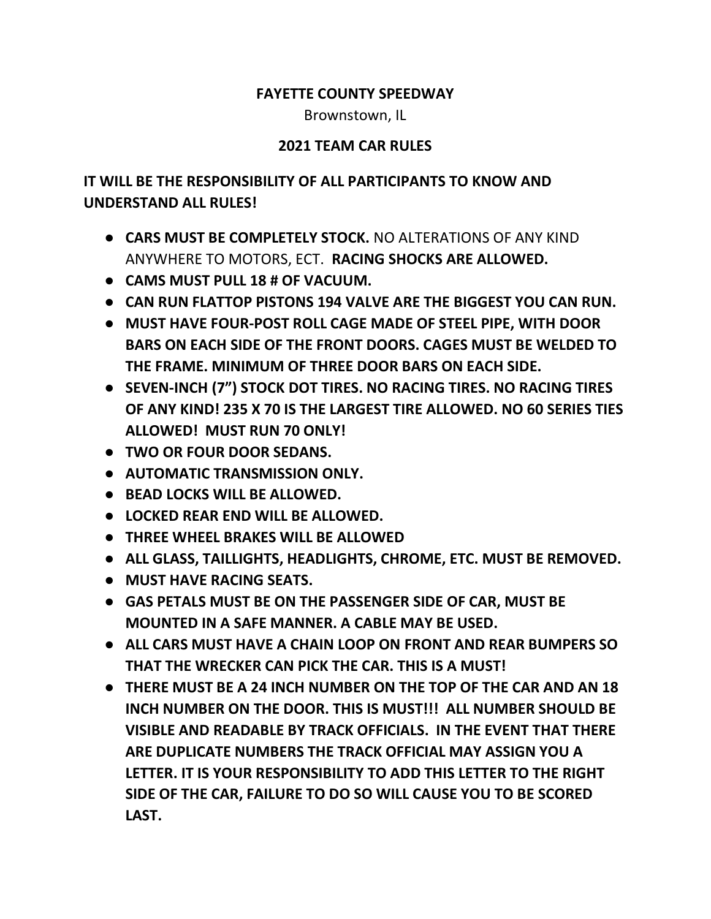## FAYETTE COUNTY SPEEDWAY

Brownstown, IL

## 2021 TEAM CAR RULES

## IT WILL BE THE RESPONSIBILITY OF ALL PARTICIPANTS TO KNOW AND UNDERSTAND ALL RULES!

- CARS MUST BE COMPLETELY STOCK. NO ALTERATIONS OF ANY KIND ANYWHERE TO MOTORS, ECT. RACING SHOCKS ARE ALLOWED.
- CAMS MUST PULL 18 # OF VACUUM.
- CAN RUN FLATTOP PISTONS 194 VALVE ARE THE BIGGEST YOU CAN RUN.
- MUST HAVE FOUR-POST ROLL CAGE MADE OF STEEL PIPE, WITH DOOR BARS ON EACH SIDE OF THE FRONT DOORS. CAGES MUST BE WELDED TO THE FRAME. MINIMUM OF THREE DOOR BARS ON EACH SIDE.
- SEVEN-INCH (7") STOCK DOT TIRES. NO RACING TIRES. NO RACING TIRES OF ANY KIND! 235 X 70 IS THE LARGEST TIRE ALLOWED. NO 60 SERIES TIES ALLOWED! MUST RUN 70 ONLY!
- TWO OR FOUR DOOR SEDANS.
- AUTOMATIC TRANSMISSION ONLY.
- BEAD LOCKS WILL BE ALLOWED.
- LOCKED REAR END WILL BE ALLOWED.
- THREE WHEEL BRAKES WILL BE ALLOWED
- ALL GLASS, TAILLIGHTS, HEADLIGHTS, CHROME, ETC. MUST BE REMOVED.
- MUST HAVE RACING SEATS.
- GAS PETALS MUST BE ON THE PASSENGER SIDE OF CAR, MUST BE MOUNTED IN A SAFE MANNER. A CABLE MAY BE USED.
- ALL CARS MUST HAVE A CHAIN LOOP ON FRONT AND REAR BUMPERS SO THAT THE WRECKER CAN PICK THE CAR. THIS IS A MUST!
- THERE MUST BE A 24 INCH NUMBER ON THE TOP OF THE CAR AND AN 18 INCH NUMBER ON THE DOOR. THIS IS MUST!!! ALL NUMBER SHOULD BE VISIBLE AND READABLE BY TRACK OFFICIALS. IN THE EVENT THAT THERE ARE DUPLICATE NUMBERS THE TRACK OFFICIAL MAY ASSIGN YOU A LETTER. IT IS YOUR RESPONSIBILITY TO ADD THIS LETTER TO THE RIGHT SIDE OF THE CAR, FAILURE TO DO SO WILL CAUSE YOU TO BE SCORED LAST.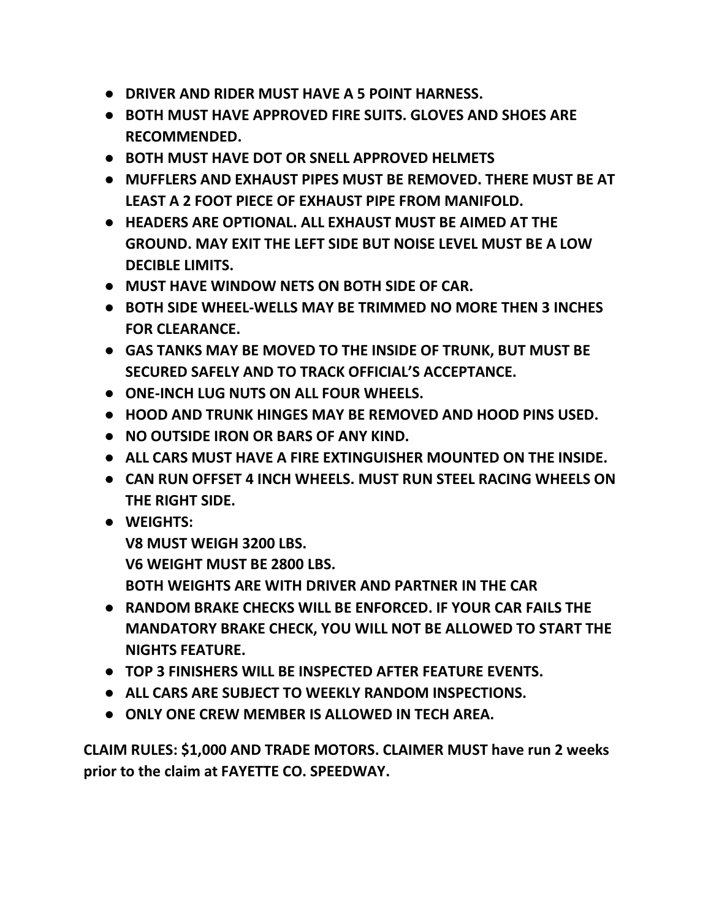- DRIVER AND RIDER MUST HAVE A 5 POINT HARNESS.
- BOTH MUST HAVE APPROVED FIRE SUITS. GLOVES AND SHOES ARE RECOMMENDED.
- BOTH MUST HAVE DOT OR SNELL APPROVED HELMETS
- MUFFLERS AND EXHAUST PIPES MUST BE REMOVED. THERE MUST BE AT LEAST A 2 FOOT PIECE OF EXHAUST PIPE FROM MANIFOLD.
- HEADERS ARE OPTIONAL. ALL EXHAUST MUST BE AIMED AT THE GROUND. MAY EXIT THE LEFT SIDE BUT NOISE LEVEL MUST BE A LOW DECIBLE LIMITS.
- MUST HAVE WINDOW NETS ON BOTH SIDE OF CAR.
- BOTH SIDE WHEEL-WELLS MAY BE TRIMMED NO MORE THEN 3 INCHES FOR CLEARANCE.
- GAS TANKS MAY BE MOVED TO THE INSIDE OF TRUNK, BUT MUST BE SECURED SAFELY AND TO TRACK OFFICIAL'S ACCEPTANCE.
- ONE-INCH LUG NUTS ON ALL FOUR WHEELS.
- HOOD AND TRUNK HINGES MAY BE REMOVED AND HOOD PINS USED.
- NO OUTSIDE IRON OR BARS OF ANY KIND.
- ALL CARS MUST HAVE A FIRE EXTINGUISHER MOUNTED ON THE INSIDE.
- CAN RUN OFFSET 4 INCH WHEELS. MUST RUN STEEL RACING WHEELS ON THE RIGHT SIDE.
- WEIGHTS:

V8 MUST WEIGH 3200 LBS. V6 WEIGHT MUST BE 2800 LBS. BOTH WEIGHTS ARE WITH DRIVER AND PARTNER IN THE CAR

- RANDOM BRAKE CHECKS WILL BE ENFORCED. IF YOUR CAR FAILS THE MANDATORY BRAKE CHECK, YOU WILL NOT BE ALLOWED TO START THE NIGHTS FEATURE.
- TOP 3 FINISHERS WILL BE INSPECTED AFTER FEATURE EVENTS.
- ALL CARS ARE SUBJECT TO WEEKLY RANDOM INSPECTIONS.
- ONLY ONE CREW MEMBER IS ALLOWED IN TECH AREA.

CLAIM RULES: \$1,000 AND TRADE MOTORS. CLAIMER MUST have run 2 weeks prior to the claim at FAYETTE CO. SPEEDWAY.